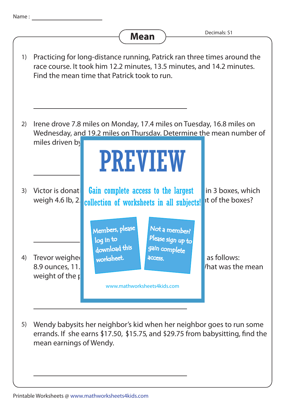